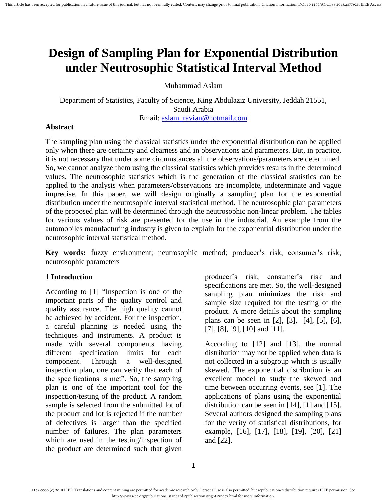# **Design of Sampling Plan for Exponential Distribution under Neutrosophic Statistical Interval Method**

Muhammad Aslam

Department of Statistics, Faculty of Science, King Abdulaziz University, Jeddah 21551, Saudi Arabia Email: [aslam\\_ravian@hotmail.com](mailto:aslam_ravian@hotmail.com)

## **Abstract**

The sampling plan using the classical statistics under the exponential distribution can be applied only when there are certainty and clearness and in observations and parameters. But, in practice, it is not necessary that under some circumstances all the observations/parameters are determined. So, we cannot analyze them using the classical statistics which provides results in the determined values. The neutrosophic statistics which is the generation of the classical statistics can be applied to the analysis when parameters/observations are incomplete, indeterminate and vague imprecise. In this paper, we will design originally a sampling plan for the exponential distribution under the neutrosophic interval statistical method. The neutrosophic plan parameters of the proposed plan will be determined through the neutrosophic non-linear problem. The tables for various values of risk are presented for the use in the industrial. An example from the automobiles manufacturing industry is given to explain for the exponential distribution under the neutrosophic interval statistical method.

**Key words:** fuzzy environment; neutrosophic method; producer's risk, consumer's risk; neutrosophic parameters

## **1 Introduction**

According to [\[1\]](#page-6-0) "Inspection is one of the important parts of the quality control and quality assurance. The high quality cannot be achieved by accident. For the inspection, a careful planning is needed using the techniques and instruments. A product is made with several components having different specification limits for each component. Through a well-designed inspection plan, one can verify that each of the specifications is met". So, the sampling plan is one of the important tool for the inspection/testing of the product. A random sample is selected from the submitted lot of the product and lot is rejected if the number of defectives is larger than the specified number of failures. The plan parameters which are used in the testing/inspection of the product are determined such that given

producer's risk, consumer's risk and specifications are met. So, the well-designed sampling plan minimizes the risk and sample size required for the testing of the product. A more details about the sampling plans can be seen in [\[2\]](#page-6-1), [\[3\]](#page-6-2), [\[4\]](#page-6-3), [\[5\]](#page-6-4), [\[6\]](#page-6-5), [\[7\]](#page-6-6), [\[8\]](#page-6-7), [\[9\]](#page-6-8), [\[10\]](#page-6-9) and [\[11\]](#page-6-10).

According to [\[12\]](#page-7-0) and [\[13\]](#page-7-1), the normal distribution may not be applied when data is not collected in a subgroup which is usually skewed. The exponential distribution is an excellent model to study the skewed and time between occurring events, see [\[1\]](#page-6-0). The applications of plans using the exponential distribution can be seen in [\[14\]](#page-7-2), [\[1\]](#page-6-0) and [\[15\]](#page-7-3). Several authors designed the sampling plans for the verity of statistical distributions, for example, [\[16\]](#page-7-4), [\[17\]](#page-7-5), [\[18\]](#page-7-6), [\[19\]](#page-7-7), [\[20\]](#page-7-8), [\[21\]](#page-7-9) and [\[22\]](#page-7-10).

<sup>2169-3536 (</sup>c) 2018 IEEE. Translations and content mining are permitted for academic research only. Personal use is also permitted, but republication/redistribution requires IEEE permission. See http://www.ieee.org/publications\_standards/publications/rights/index.html for more information.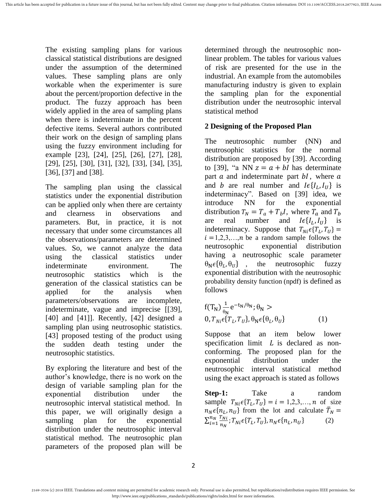The existing sampling plans for various classical statistical distributions are designed under the assumption of the determined values. These sampling plans are only workable when the experimenter is sure about the percent/proportion defective in the product. The fuzzy approach has been widely applied in the area of sampling plans when there is indeterminate in the percent defective items. Several authors contributed their work on the design of sampling plans using the fuzzy environment including for example [\[23\]](#page-7-11), [\[24\]](#page-7-12), [\[25\]](#page-7-13), [\[26\]](#page-7-14), [\[27\]](#page-7-15), [\[28\]](#page-7-16), [\[29\]](#page-8-0), [\[25\]](#page-7-13), [\[30\]](#page-8-1), [\[31\]](#page-8-2), [\[32\]](#page-8-3), [\[33\]](#page-8-4), [\[34\]](#page-8-5), [\[35\]](#page-8-6), [\[36\]](#page-8-7), [\[37\]](#page-8-8) and [\[38\]](#page-8-9).

The sampling plan using the classical statistics under the exponential distribution can be applied only when there are certainty and clearness in observations and parameters. But, in practice, it is not necessary that under some circumstances all the observations/parameters are determined values. So, we cannot analyze the data using the classical statistics under indeterminate environment. The neutrosophic statistics which is the generation of the classical statistics can be applied for the analysis when parameters/observations are incomplete, indeterminate, vague and imprecise [[\[39\]](#page-8-10), [\[40\]](#page-8-11) and [\[41\]](#page-8-12)]. Recently, [\[42\]](#page-8-13) designed a sampling plan using neutrosophic statistics. [\[43\]](#page-8-14) proposed testing of the product using the sudden death testing under the neutrosophic statistics.

By exploring the literature and best of the author's knowledge, there is no work on the design of variable sampling plan for the exponential distribution under the neutrosophic interval statistical method. In this paper, we will originally design a sampling plan for the exponential distribution under the neutrosophic interval statistical method. The neutrosophic plan parameters of the proposed plan will be

determined through the neutrosophic nonlinear problem. The tables for various values of risk are presented for the use in the industrial. An example from the automobiles manufacturing industry is given to explain the sampling plan for the exponential distribution under the neutrosophic interval statistical method

## **2 Designing of the Proposed Plan**

The neutrosophic number (NN) and neutrosophic statistics for the normal distribution are proposed by [\[39\]](#page-8-10). According to [\[39\]](#page-8-10), "a NN  $z = a + bI$  has determinate part  $a$  and indeterminate part  $bI$ , where  $a$ and b are real number and  $I \in \{I_L, I_U\}$  is indeterminacy". Based on [\[39\]](#page-8-10) idea, we introduce NN for the exponential distribution  $T_N = T_a + T_b I$ , where  $T_a$  and  $T_b$ are real number and  $I \in \{I_L, I_U\}$  is indeterminacy. Suppose that  $T_{Ni} \in \{T_L, T_U\}$  =  $i=1,2,3,...,n$  be a random sample follows the neutrosophic exponential distribution having a neutrosophic scale parameter  $\theta_N \epsilon \{\theta_L, \theta_U\}$ , the neutrosophic fuzzy exponential distribution with the neutrosophic probability density function (npdf) is defined as follows

$$
f(T_N) \frac{1}{\theta_N} e^{-t_N/\theta_N}; \theta_N >
$$
  
0,  $T_{Ni} \epsilon \{T_L, T_U\}, \theta_N \epsilon \{\theta_L, \theta_U\}$  (1)

Suppose that an item below lower specification limit  $L$  is declared as nonconforming. The proposed plan for the exponential distribution under the neutrosophic interval statistical method using the exact approach is stated as follows

**Step-1:** Take a random sample  $T_{Ni} \in \{T_L, T_U\} = i = 1, 2, 3, ..., n$  of size  $n_N \epsilon \{n_L, n_U\}$  from the lot and calculate  $\bar{T}_N$  $\sum_{i=1}^{n_N} \frac{T}{n}$ n  $\frac{n_N}{i=1} \frac{T_{Ni}}{n_N}$ ;  $T_{Ni} \epsilon \{T_L, T_U\}$ ,  $n_N \epsilon \{n_L, n_U\}$  (2)

<sup>2169-3536 (</sup>c) 2018 IEEE. Translations and content mining are permitted for academic research only. Personal use is also permitted, but republication/redistribution requires IEEE permission. See http://www.ieee.org/publications\_standards/publications/rights/index.html for more information.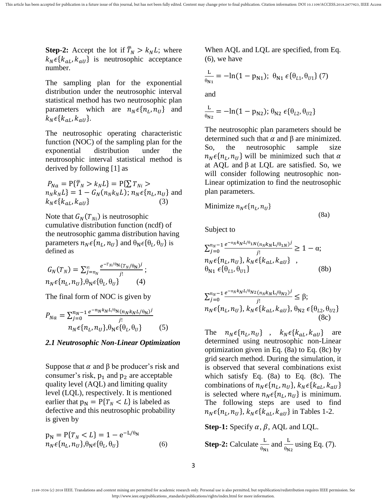**Step-2:** Accept the lot if  $\overline{T}_N > k_N L$ ; where  $k_N \epsilon \{k_{aI}, k_{aII}\}\$ is neutrosophic acceptance number.

The sampling plan for the exponential distribution under the neutrosophic interval statistical method has two neutrosophic plan parameters which are  $n_N \epsilon \{n_L, n_U\}$  and  $k_N \epsilon \{k_{aL}, k_{aU}\}.$ 

The neutrosophic operating characteristic function (NOC) of the sampling plan for the exponential distribution under the neutrosophic interval statistical method is derived by following [\[1\]](#page-6-0) as

 $P_{Na} = P\{\overline{T}_N > k_N L\} = P\{\sum T_{Ni} >$  $n_N k_N L$ } = 1 –  $G_N(n_N k_N L)$ ;  $n_N \in \{n_L, n_U\}$  and  $k_N \epsilon \{k_{aL}, k_{aU}\}\$  (3)

Note that  $G_N(T_{Ni})$  is neutrosophic cumulative distribution function (ncdf) of the neutrosophic gamma distribution having parameters  $n_N \epsilon \{n_L, n_U\}$  and  $\theta_N \epsilon \{n_L, n_U\}$  is defined as

$$
G_N(T_N) = \sum_{j=n_N}^{\infty} \frac{e^{-T_N/\theta_N} (T_N/\theta_N)^j}{j!};
$$
  

$$
n_N \epsilon \{n_L, n_U\}, \theta_N \epsilon \{\theta_L, \theta_U\}
$$
 (4)

The final form of NOC is given by

$$
P_{Na} = \sum_{j=0}^{n_N - 1} \frac{e^{-n_N k_N L / \theta_N (n_N k_N L / \theta_N)}j!}{j!}
$$
  

$$
n_N \epsilon \{n_L, n_U\}, \theta_N \epsilon \{\theta_L, \theta_U\}
$$
 (5)

#### *2.1 Neutrosophic Non-Linear Optimization*

Suppose that  $\alpha$  and  $\beta$  be producer's risk and consumer's risk,  $p_1$  and  $p_2$  are acceptable quality level (AQL) and limiting quality level (LQL), respectively. It is mentioned earlier that  $p_N = P{T_N < L}$  is labeled as defective and this neutrosophic probability is given by

 $p_N = P{T_N < L} = 1 - e^{-L/\theta_N}$  $n_N \epsilon \{n_L, n_U\}, \theta_N \epsilon \{ \theta_L,$  $(6)$  When AQL and LQL are specified, from Eq. (6), we have

$$
\frac{L}{\theta_{N1}} = -\ln(1 - p_{N1}); \ \theta_{N1} \ \epsilon \{ \theta_{L1}, \theta_{U1} \} \ (7)
$$
 and

$$
\frac{\mathcal{L}}{\theta_{\text{N2}}} = -\ln(1 - p_{\text{N2}}); \theta_{\text{N2}} \epsilon \{\theta_{L2}, \theta_{U2}\}
$$

The neutrosophic plan parameters should be determined such that  $\alpha$  and  $\beta$  are minimized. So, the neutrosophic sample size  $n_N \epsilon \{n_L, n_U\}$  will be minimized such that at AQL and  $\beta$  at LQL are satisfied. So, we will consider following neutrosophic non-Linear optimization to find the neutrosophic plan parameters.

Minimize 
$$
n_N \epsilon \{n_L, n_U\}
$$

Subject to

$$
\sum_{j=0}^{n_N-1} \frac{e^{-n_N k_N L/\theta_{1N} (n_N k_N L/\theta_{1N})^j}}{j!} \ge 1 - \alpha;
$$
  
\n
$$
n_N \epsilon \{n_L, n_U\}, k_N \epsilon \{k_{aL}, k_{aU}\},
$$
  
\n
$$
\theta_{N1} \epsilon \{\theta_{L1}, \theta_{U1}\}
$$
 (8b)

(8a)

$$
\sum_{j=0}^{n_N-1} \frac{e^{-n_N k_N L/\theta_{N2} (n_N k_N L/\theta_{N2})^j}}{j!} \le \beta;
$$
  
\n
$$
n_N \epsilon \{n_L, n_U\}, k_N \epsilon \{k_{aL}, k_{aU}\}, \theta_{N2} \epsilon \{\theta_{L2}, \theta_{U2}\}
$$
  
\n(8c)

The  $n_N \epsilon \{n_L, n_U\}$ ,  $k_N \epsilon \{k_{aL}, k_{aU}\}$  are determined using neutrosophic non-Linear optimization given in Eq. (8a) to Eq. (8c) by grid search method. During the simulation, it is observed that several combinations exist which satisfy Eq. (8a) to Eq. (8c). The combinations of  $n_N \epsilon \{n_L, n_U\}$ ,  $k_N \epsilon \{k_{aL}, k_{aU}\}$ is selected where  $n_N \epsilon \{n_L, n_U\}$  is minimum. The following steps are used to find  $n_N \epsilon \{n_L, n_U\}$ ,  $k_N \epsilon \{k_{aL}, k_{aU}\}$  in Tables 1-2.

**Step-1:** Specify  $\alpha$ ,  $\beta$ , AQL and LQL.

**Step-2:** Calculate 
$$
\frac{L}{\theta_{N1}}
$$
 and  $\frac{L}{\theta_{N2}}$  using Eq. (7).

<sup>2169-3536 (</sup>c) 2018 IEEE. Translations and content mining are permitted for academic research only. Personal use is also permitted, but republication/redistribution requires IEEE permission. See http://www.ieee.org/publications\_standards/publications/rights/index.html for more information.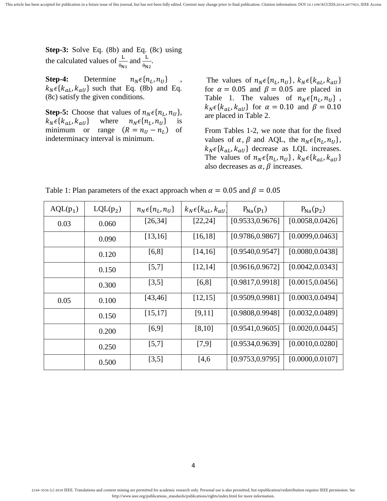**Step-3:** Solve Eq. (8b) and Eq. (8c) using the calculated values of  $\frac{L}{\theta_{N_1}}$  and  $\frac{L}{\theta_{N_2}}$ .

**Step-4:** Determine  $n_N \epsilon \{n_L, n_U\}$  $k_N \epsilon \{k_{aL}, k_{aU}\}\$  such that Eq. (8b) and Eq. (8c) satisfy the given conditions.

**Step-5:** Choose that values of  $n_N \in \{n_L, n_U\}$ ,  $k_N \epsilon \{k_{aL}, k_{aU}\}$  where  $n_N \epsilon \{n_L, n_U\}$  is minimum or range  $(R = n_U - n_L)$  of indeterminacy interval is minimum.

The values of  $n_N \epsilon \{n_L, n_U\}$ ,  $k_N \epsilon \{k_{aL}, k_{aU}\}$ for  $\alpha = 0.05$  and  $\beta = 0.05$  are placed in Table 1. The values of  $n_N \epsilon \{n_L, n_U\}$ ,  $k_N \epsilon \{k_{aL}, k_{aU}\}\$  for  $\alpha = 0.10$  and  $\beta = 0.10$ are placed in Table 2.

From Tables 1-2, we note that for the fixed values of  $\alpha$ ,  $\beta$  and AQL, the  $n_N \epsilon \{n_L, n_U\}$ ,  $k_N \epsilon \{k_{aL}, k_{aU}\}\$  decrease as LQL increases. The values of  $n_N \epsilon \{n_L, n_U\}$ ,  $k_N \epsilon \{k_{aL}, k_{aU}\}$ also decreases as  $\alpha$ ,  $\beta$  increases.

| $AQL(p_1)$ | $LQL(p_2)$ | $n_N \epsilon\{n_L, n_U\}$ | $k_N \epsilon$ { $k_{aL}$ , $k_{aU}$ | $P_{Na}(p_1)$    | $P_{Na}(p_2)$    |
|------------|------------|----------------------------|--------------------------------------|------------------|------------------|
| 0.03       | 0.060      | [26, 34]                   | [22, 24]                             | [0.9533, 0.9676] | [0.0058, 0.0426] |
|            | 0.090      | [13, 16]                   | [16, 18]                             | [0.9786, 0.9867] | [0.0099, 0.0463] |
|            | 0.120      | [6,8]                      | [14, 16]                             | [0.9540, 0.9547] | [0.0080, 0.0438] |
|            | 0.150      | [5,7]                      | [12, 14]                             | [0.9616, 0.9672] | [0.0042, 0.0343] |
|            | 0.300      | [3,5]                      | [6,8]                                | [0.9817, 0.9918] | [0.0015, 0.0456] |
| 0.05       | 0.100      | [43, 46]                   | [12, 15]                             | [0.9509, 0.9981] | [0.0003, 0.0494] |
|            | 0.150      | [15, 17]                   | [9,11]                               | [0.9808, 0.9948] | [0.0032, 0.0489] |
|            | 0.200      | $[6,9]$                    | [8,10]                               | [0.9541, 0.9605] | [0.0020, 0.0445] |
|            | 0.250      | [5,7]                      | [7,9]                                | [0.9534, 0.9639] | [0.0010, 0.0280] |
|            | 0.500      | [3,5]                      | [4,6]                                | [0.9753, 0.9795] | [0.0000, 0.0107] |

Table 1: Plan parameters of the exact approach when  $\alpha = 0.05$  and  $\beta = 0.05$ 

<sup>2169-3536 (</sup>c) 2018 IEEE. Translations and content mining are permitted for academic research only. Personal use is also permitted, but republication/redistribution requires IEEE permission. See http://www.ieee.org/publications\_standards/publications/rights/index.html for more information.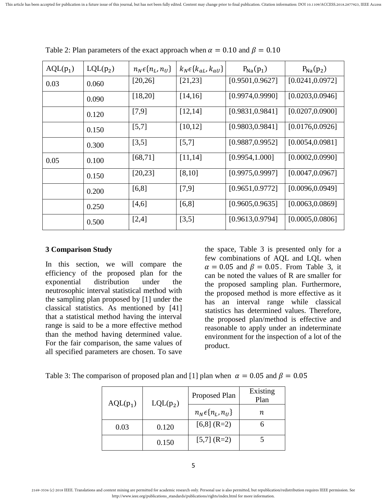| $AQL(p_1)$ | $LQL(p_2)$ | $n_N \epsilon\{n_L, n_U\}$ | $k_N \epsilon \{k_{aL}, k_{aU}\}\$ | $P_{Na}(p_1)$    | $P_{Na}(p_2)$    |
|------------|------------|----------------------------|------------------------------------|------------------|------------------|
| 0.03       | 0.060      | [20, 26]                   | [21, 23]                           | [0.9501, 0.9627] | [0.0241, 0.0972] |
|            | 0.090      | [18,20]                    | [14,16]                            | [0.9974, 0.9990] | [0.0203, 0.0946] |
|            | 0.120      | [7,9]                      | [12, 14]                           | [0.9831, 0.9841] | [0.0207, 0.0900] |
|            | 0.150      | [5,7]                      | [10, 12]                           | [0.9803, 0.9841] | [0.0176, 0.0926] |
|            | 0.300      | [3,5]                      | [5,7]                              | [0.9887, 0.9952] | [0.0054, 0.0981] |
| 0.05       | 0.100      | [68, 71]                   | [11, 14]                           | [0.9954, 1.000]  | [0.0002, 0.0990] |
|            | 0.150      | [20, 23]                   | [8,10]                             | [0.9975, 0.9997] | [0.0047, 0.0967] |
|            | 0.200      | [6,8]                      | [7,9]                              | [0.9651, 0.9772] | [0.0096, 0.0949] |
|            | 0.250      | [4,6]                      | [6,8]                              | [0.9605, 0.9635] | [0.0063, 0.0869] |
|            | 0.500      | [2,4]                      | [3,5]                              | [0.9613, 0.9794] | [0.0005, 0.0806] |

Table 2: Plan parameters of the exact approach when  $\alpha = 0.10$  and  $\beta = 0.10$ 

#### **3 Comparison Study**

In this section, we will compare the efficiency of the proposed plan for the exponential distribution under the neutrosophic interval statistical method with the sampling plan proposed by [\[1\]](#page-6-0) under the classical statistics. As mentioned by [\[41\]](#page-8-12) that a statistical method having the interval range is said to be a more effective method than the method having determined value. For the fair comparison, the same values of all specified parameters are chosen. To save

the space, Table 3 is presented only for a few combinations of AQL and LQL when  $\alpha = 0.05$  and  $\beta = 0.05$ . From Table 3, it can be noted the values of R are smaller for the proposed sampling plan. Furthermore, the proposed method is more effective as it has an interval range while classical statistics has determined values. Therefore, the proposed plan/method is effective and reasonable to apply under an indeterminate environment for the inspection of a lot of the product.

| $AQL(p_1)$ | $LQL(p_2)$ | Proposed Plan              | Existing<br>Plan |
|------------|------------|----------------------------|------------------|
|            |            | $n_N \epsilon\{n_L, n_U\}$ | n.               |
| 0.03       | 0.120      | $[6,8]$ (R=2)              |                  |
|            | 0.150      | $[5,7]$ (R=2)              |                  |

Table 3: The comparison of proposed plan and [\[1\]](#page-6-0) plan when  $\alpha = 0.05$  and  $\beta = 0.05$ 

<sup>2169-3536 (</sup>c) 2018 IEEE. Translations and content mining are permitted for academic research only. Personal use is also permitted, but republication/redistribution requires IEEE permission. See http://www.ieee.org/publications\_standards/publications/rights/index.html for more information.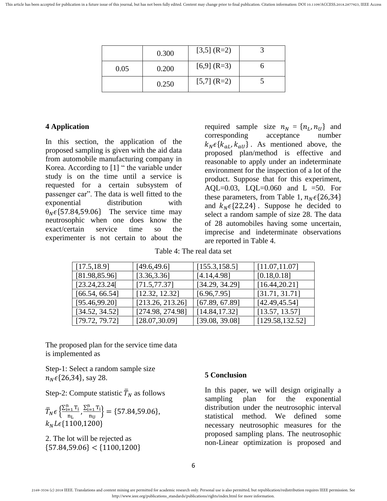|      | 0.300 | $[3,5]$ (R=2) |  |
|------|-------|---------------|--|
| 0.05 | 0.200 | $[6,9]$ (R=3) |  |
|      | 0.250 | $[5,7]$ (R=2) |  |

## **4 Application**

In this section, the application of the proposed sampling is given with the aid data from automobile manufacturing company in Korea. According to [\[1\]](#page-6-0) " the variable under study is on the time until a service is requested for a certain subsystem of passenger car". The data is well fitted to the exponential distribution with  $\theta_N \in \{57.84, 59.06\}$  The service time may neutrosophic when one does know the exact/certain service time so the experimenter is not certain to about the

required sample size  $n_N = \{n_L, n_U\}$  and corresponding acceptance number  $k_N \epsilon \{k_{aL}, k_{aU}\}\$ . As mentioned above, the proposed plan/method is effective and reasonable to apply under an indeterminate environment for the inspection of a lot of the product. Suppose that for this experiment, AQL=0.03, LQL=0.060 and L =50. For these parameters, from Table 1,  $n_N \epsilon \{26, 34\}$ and  $k_N \in \{22, 24\}$ . Suppose he decided to select a random sample of size 28. The data of 28 automobiles having some uncertain, imprecise and indeterminate observations are reported in Table 4.

Table 4: The real data set

| [17.5, 18.9]   | [49.6, 49.6]     | [155.3, 158.5] | $\mid$ [11.07,11.07] |
|----------------|------------------|----------------|----------------------|
| [81.98, 85.96] | [3.36, 3.36]     | [4.14, 4.98]   | [0.18, 0.18]         |
| [23.24, 23.24] | [71.5, 77.37]    | [34.29, 34.29] | [16.44, 20.21]       |
| [66.54, 66.54] | [12.32, 12.32]   | [6.96, 7.95]   | [31.71, 31.71]       |
| [95.46, 99.20] | [213.26, 213.26] | [67.89, 67.89] | [42.49, 45.54]       |
| [34.52, 34.52] | [274.98, 274.98] | [14.84, 17.32] | [13.57, 13.57]       |
| [79.72, 79.72] | [28.07, 30.09]   | [39.08, 39.08] | [129.58, 132.52]     |

The proposed plan for the service time data is implemented as

Step-1: Select a random sample size  $n_N \in \{26, 34\}$ , say 28.

Step-2: Compute statistic  $\overline{T}_N$  as follows

$$
\overline{T}_{N} \epsilon \left\{ \frac{\sum_{i=1}^{n} T_{i}}{n_{L}}, \frac{\sum_{i=1}^{n} T_{i}}{n_{U}} \right\} = \{57.84, 59.06\},
$$
\n
$$
k_{N} L \epsilon \{1100, 1200\}
$$

2. The lot will be rejected as  ${57.84,59.06} < {1100,1200}$ 

### **5 Conclusion**

In this paper, we will design originally a sampling plan for the exponential distribution under the neutrosophic interval statistical method. We defined some necessary neutrosophic measures for the proposed sampling plans. The neutrosophic non-Linear optimization is proposed and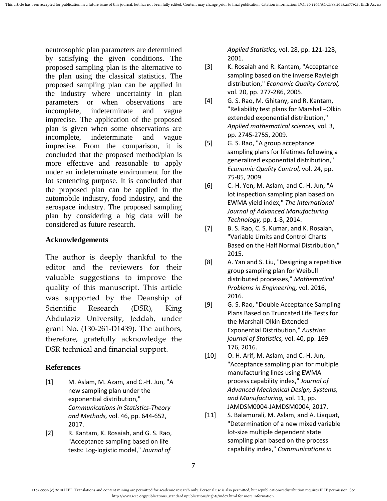neutrosophic plan parameters are determined by satisfying the given conditions. The proposed sampling plan is the alternative to the plan using the classical statistics. The proposed sampling plan can be applied in the industry where uncertainty in plan parameters or when observations are incomplete, indeterminate and vague imprecise. The application of the proposed plan is given when some observations are incomplete, indeterminate and vague imprecise. From the comparison, it is concluded that the proposed method/plan is more effective and reasonable to apply under an indeterminate environment for the lot sentencing purpose. It is concluded that the proposed plan can be applied in the automobile industry, food industry, and the aerospace industry. The proposed sampling plan by considering a big data will be considered as future research.

## **Acknowledgements**

The author is deeply thankful to the editor and the reviewers for their valuable suggestions to improve the quality of this manuscript. This article was supported by the Deanship of Scientific Research (DSR), King Abdulaziz University, Jeddah, under grant No. (130-261-D1439). The authors, therefore, gratefully acknowledge the DSR technical and financial support.

## **References**

- <span id="page-6-0"></span>[1] M. Aslam, M. Azam, and C.-H. Jun, "A new sampling plan under the exponential distribution," *Communications in Statistics-Theory and Methods,* vol. 46, pp. 644-652, 2017.
- <span id="page-6-1"></span>[2] R. Kantam, K. Rosaiah, and G. S. Rao, "Acceptance sampling based on life tests: Log-logistic model," *Journal of*

*Applied Statistics,* vol. 28, pp. 121-128, 2001.

- <span id="page-6-2"></span>[3] K. Rosaiah and R. Kantam, "Acceptance sampling based on the inverse Rayleigh distribution," *Economic Quality Control,*  vol. 20, pp. 277-286, 2005.
- <span id="page-6-3"></span>[4] G. S. Rao, M. Ghitany, and R. Kantam, "Reliability test plans for Marshall–Olkin extended exponential distribution," *Applied mathematical sciences,* vol. 3, pp. 2745-2755, 2009.
- <span id="page-6-4"></span>[5] G. S. Rao, "A group acceptance sampling plans for lifetimes following a generalized exponential distribution," *Economic Quality Control,* vol. 24, pp. 75-85, 2009.
- <span id="page-6-5"></span>[6] C.-H. Yen, M. Aslam, and C.-H. Jun, "A lot inspection sampling plan based on EWMA yield index," *The International Journal of Advanced Manufacturing Technology,* pp. 1-8, 2014.
- <span id="page-6-6"></span>[7] B. S. Rao, C. S. Kumar, and K. Rosaiah, "Variable Limits and Control Charts Based on the Half Normal Distribution," 2015.
- <span id="page-6-7"></span>[8] A. Yan and S. Liu, "Designing a repetitive group sampling plan for Weibull distributed processes," *Mathematical Problems in Engineering,* vol. 2016, 2016.
- <span id="page-6-8"></span>[9] G. S. Rao, "Double Acceptance Sampling Plans Based on Truncated Life Tests for the Marshall-Olkin Extended Exponential Distribution," *Austrian journal of Statistics,* vol. 40, pp. 169- 176, 2016.
- <span id="page-6-9"></span>[10] O. H. Arif, M. Aslam, and C.-H. Jun, "Acceptance sampling plan for multiple manufacturing lines using EWMA process capability index," *Journal of Advanced Mechanical Design, Systems, and Manufacturing,* vol. 11, pp. JAMDSM0004-JAMDSM0004, 2017.
- <span id="page-6-10"></span>[11] S. Balamurali, M. Aslam, and A. Liaquat, "Determination of a new mixed variable lot-size multiple dependent state sampling plan based on the process capability index," *Communications in*

<sup>2169-3536 (</sup>c) 2018 IEEE. Translations and content mining are permitted for academic research only. Personal use is also permitted, but republication/redistribution requires IEEE permission. See http://www.ieee.org/publications\_standards/publications/rights/index.html for more information.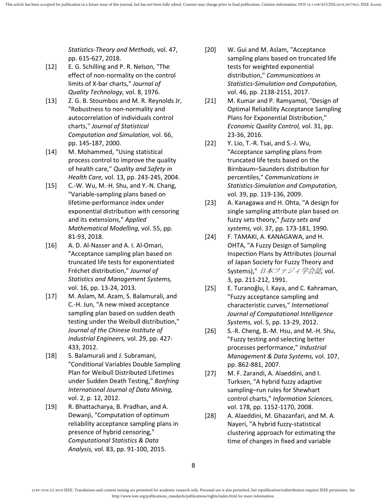*Statistics-Theory and Methods,* vol. 47, pp. 615-627, 2018.

- <span id="page-7-0"></span>[12] E. G. Schilling and P. R. Nelson, "The effect of non-normality on the control limits of X-bar charts," *Journal of Quality Technology,* vol. 8, 1976.
- <span id="page-7-1"></span>[13] Z. G. B. Stoumbos and M. R. Reynolds Jr, "Robustness to non-normality and autocorrelation of individuals control charts," *Journal of Statistical Computation and Simulation,* vol. 66, pp. 145-187, 2000.
- <span id="page-7-2"></span>[14] M. Mohammed, "Using statistical process control to improve the quality of health care," *Quality and Safety in Health Care,* vol. 13, pp. 243-245, 2004.
- <span id="page-7-3"></span>[15] C.-W. Wu, M.-H. Shu, and Y.-N. Chang, "Variable-sampling plans based on lifetime-performance index under exponential distribution with censoring and its extensions," *Applied Mathematical Modelling,* vol. 55, pp. 81-93, 2018.
- <span id="page-7-4"></span>[16] A. D. Al-Nasser and A. I. Al-Omari, "Acceptance sampling plan based on truncated life tests for exponentiated Fréchet distribution," *Journal of Statistics and Management Systems,*  vol. 16, pp. 13-24, 2013.
- <span id="page-7-5"></span>[17] M. Aslam, M. Azam, S. Balamurali, and C.-H. Jun, "A new mixed acceptance sampling plan based on sudden death testing under the Weibull distribution," *Journal of the Chinese Institute of Industrial Engineers,* vol. 29, pp. 427- 433, 2012.
- <span id="page-7-6"></span>[18] S. Balamurali and J. Subramani, "Conditional Variables Double Sampling Plan for Weibull Distributed Lifetimes under Sudden Death Testing," *Bonfring International Journal of Data Mining,*  vol. 2, p. 12, 2012.
- <span id="page-7-7"></span>[19] R. Bhattacharya, B. Pradhan, and A. Dewanji, "Computation of optimum reliability acceptance sampling plans in presence of hybrid censoring," *Computational Statistics & Data Analysis,* vol. 83, pp. 91-100, 2015.
- <span id="page-7-8"></span>[20] W. Gui and M. Aslam, "Acceptance sampling plans based on truncated life tests for weighted exponential distribution," *Communications in Statistics-Simulation and Computation,*  vol. 46, pp. 2138-2151, 2017.
- <span id="page-7-9"></span>[21] M. Kumar and P. Ramyamol, "Design of Optimal Reliability Acceptance Sampling Plans for Exponential Distribution," *Economic Quality Control,* vol. 31, pp. 23-36, 2016.
- <span id="page-7-10"></span>[22] Y. Lio, T.-R. Tsai, and S.-J. Wu, "Acceptance sampling plans from truncated life tests based on the Birnbaum–Saunders distribution for percentiles," *Communications in Statistics-Simulation and Computation,*  vol. 39, pp. 119-136, 2009.
- <span id="page-7-11"></span>[23] A. Kanagawa and H. Ohta, "A design for single sampling attribute plan based on fuzzy sets theory," *fuzzy sets and systems,* vol. 37, pp. 173-181, 1990.
- <span id="page-7-12"></span>[24] F. TAMAKI, A. KANAGAWA, and H. OHTA, "A Fuzzy Design of Sampling Inspection Plans by Attributes (Journal of Japan Society for Fuzzy Theory and Systems)," 日本ファジィ学会誌*,* vol. 3, pp. 211-212, 1991.
- <span id="page-7-13"></span>[25] E. Turanoğlu, İ. Kaya, and C. Kahraman, "Fuzzy acceptance sampling and characteristic curves," *International Journal of Computational Intelligence Systems,* vol. 5, pp. 13-29, 2012.
- <span id="page-7-14"></span>[26] S.-R. Cheng, B.-M. Hsu, and M.-H. Shu, "Fuzzy testing and selecting better processes performance," *Industrial Management & Data Systems,* vol. 107, pp. 862-881, 2007.
- <span id="page-7-15"></span>[27] M. F. Zarandi, A. Alaeddini, and I. Turksen, "A hybrid fuzzy adaptive sampling–run rules for Shewhart control charts," *Information Sciences,*  vol. 178, pp. 1152-1170, 2008.
- <span id="page-7-16"></span>[28] A. Alaeddini, M. Ghazanfari, and M. A. Nayeri, "A hybrid fuzzy-statistical clustering approach for estimating the time of changes in fixed and variable